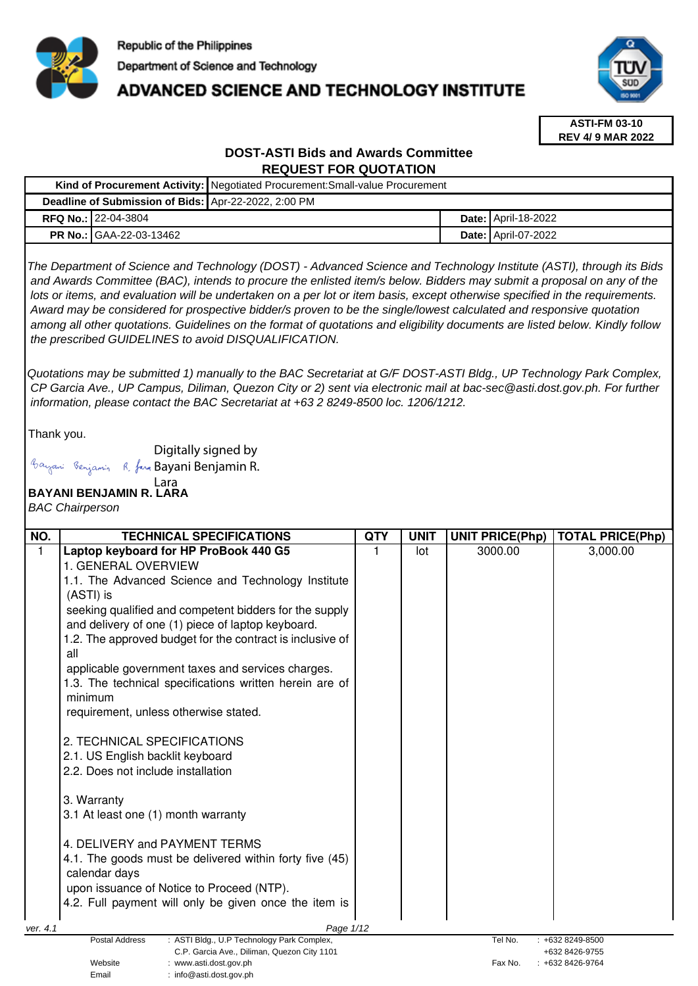

## **ADVANCED SCIENCE AND TECHNOLOGY INSTITUTE**



**ASTI-FM 03-10 REV 4/ 9 MAR 2022**

### **DOST-ASTI Bids and Awards Committee REQUEST FOR QUOTATION**

| Kind of Procurement Activity:   Negotiated Procurement: Small-value Procurement |                                |  |  |                              |
|---------------------------------------------------------------------------------|--------------------------------|--|--|------------------------------|
| Deadline of Submission of Bids: Apr-22-2022, 2:00 PM                            |                                |  |  |                              |
|                                                                                 | <b>RFQ No.: 22-04-3804</b>     |  |  | <b>Date:   April-18-2022</b> |
|                                                                                 | <b>PR No.: GAA-22-03-13462</b> |  |  | <b>Date: April-07-2022</b>   |

The Department of Science and Technology (DOST) - Advanced Science and Technology Institute (ASTI), through its Bids and Awards Committee (BAC), intends to procure the enlisted item/s below. Bidders may submit a proposal on any of the lots or items, and evaluation will be undertaken on a per lot or item basis, except otherwise specified in the requirements. Award may be considered for prospective bidder/s proven to be the single/lowest calculated and responsive quotation among all other quotations. Guidelines on the format of quotations and eligibility documents are listed below. Kindly follow the prescribed GUIDELINES to avoid DISQUALIFICATION.

Quotations may be submitted 1) manually to the BAC Secretariat at G/F DOST-ASTI Bldg., UP Technology Park Complex, CP Garcia Ave., UP Campus, Diliman, Quezon City or 2) sent via electronic mail at bac-sec@asti.dost.gov.ph. For further information, please contact the BAC Secretariat at +63 2 8249-8500 loc. 1206/1212.

Thank you.

Digitally signed by

Email : info@asti.dost.gov.ph

Bayani Benjamin R. fan Bayani Benjamin R.

#### **BAYANI BENJAMIN R. LARA**  Lara

BAC Chairperson

| NO.      | <b>TECHNICAL SPECIFICATIONS</b>                                                           | <b>QTY</b> | <b>UNIT</b> | <b>UNIT PRICE(Php)</b> | <b>TOTAL PRICE(Php)</b>          |
|----------|-------------------------------------------------------------------------------------------|------------|-------------|------------------------|----------------------------------|
| 1        | Laptop keyboard for HP ProBook 440 G5                                                     |            | lot         | 3000.00                | 3,000.00                         |
|          | 1. GENERAL OVERVIEW                                                                       |            |             |                        |                                  |
|          | 1.1. The Advanced Science and Technology Institute                                        |            |             |                        |                                  |
|          | (ASTI) is                                                                                 |            |             |                        |                                  |
|          | seeking qualified and competent bidders for the supply                                    |            |             |                        |                                  |
|          | and delivery of one (1) piece of laptop keyboard.                                         |            |             |                        |                                  |
|          | 1.2. The approved budget for the contract is inclusive of                                 |            |             |                        |                                  |
|          | all                                                                                       |            |             |                        |                                  |
|          | applicable government taxes and services charges.                                         |            |             |                        |                                  |
|          | 1.3. The technical specifications written herein are of                                   |            |             |                        |                                  |
|          | minimum                                                                                   |            |             |                        |                                  |
|          | requirement, unless otherwise stated.                                                     |            |             |                        |                                  |
|          |                                                                                           |            |             |                        |                                  |
|          | 2. TECHNICAL SPECIFICATIONS                                                               |            |             |                        |                                  |
|          | 2.1. US English backlit keyboard                                                          |            |             |                        |                                  |
|          | 2.2. Does not include installation                                                        |            |             |                        |                                  |
|          | 3. Warranty                                                                               |            |             |                        |                                  |
|          | 3.1 At least one (1) month warranty                                                       |            |             |                        |                                  |
|          |                                                                                           |            |             |                        |                                  |
|          | 4. DELIVERY and PAYMENT TERMS                                                             |            |             |                        |                                  |
|          | 4.1. The goods must be delivered within forty five (45)                                   |            |             |                        |                                  |
|          | calendar days                                                                             |            |             |                        |                                  |
|          | upon issuance of Notice to Proceed (NTP).                                                 |            |             |                        |                                  |
|          | 4.2. Full payment will only be given once the item is                                     |            |             |                        |                                  |
|          |                                                                                           |            |             |                        |                                  |
| ver. 4.1 | Page 1/12<br><b>Postal Address</b>                                                        |            |             | Tel No.                |                                  |
|          | : ASTI Bldg., U.P Technology Park Complex,<br>C.P. Garcia Ave., Diliman, Quezon City 1101 |            |             |                        | +632 8249-8500<br>+632 8426-9755 |
|          | Website<br>: www.asti.dost.gov.ph                                                         |            |             | Fax No.                | +632 8426-9764                   |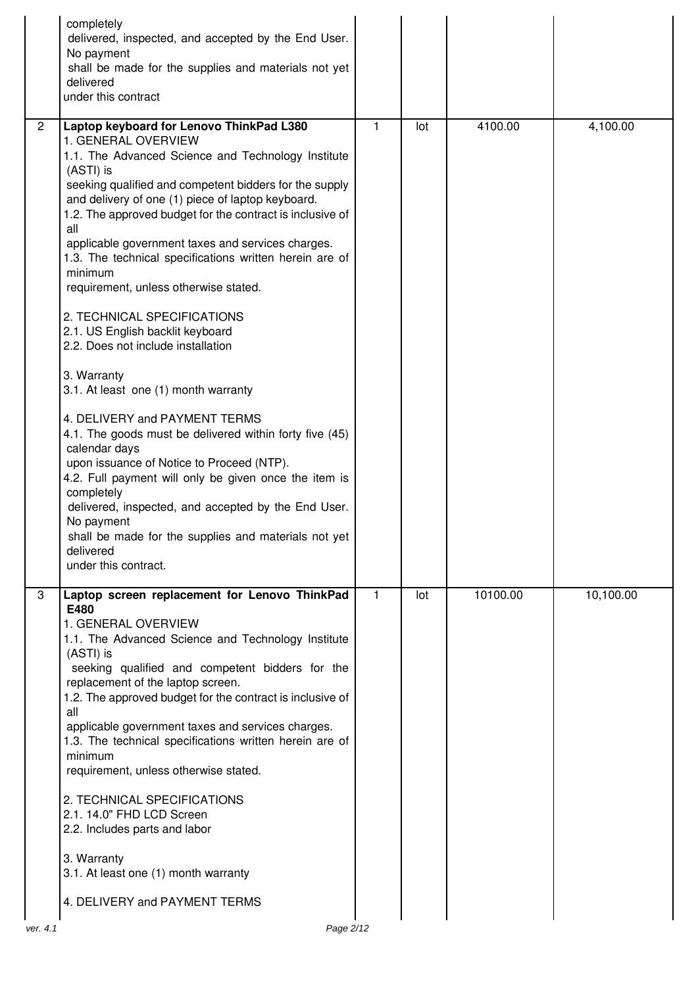|                | completely<br>delivered, inspected, and accepted by the End User.<br>No payment<br>shall be made for the supplies and materials not yet<br>delivered<br>under this contract                                                                                                                                                                                                                                                                                                                                                                                                                                                                                                                                                                                                                                                                                                                                                                                                                                                                                  |              |     |          |           |
|----------------|--------------------------------------------------------------------------------------------------------------------------------------------------------------------------------------------------------------------------------------------------------------------------------------------------------------------------------------------------------------------------------------------------------------------------------------------------------------------------------------------------------------------------------------------------------------------------------------------------------------------------------------------------------------------------------------------------------------------------------------------------------------------------------------------------------------------------------------------------------------------------------------------------------------------------------------------------------------------------------------------------------------------------------------------------------------|--------------|-----|----------|-----------|
| $\overline{2}$ | Laptop keyboard for Lenovo ThinkPad L380<br>1. GENERAL OVERVIEW<br>1.1. The Advanced Science and Technology Institute<br>(ASTI) is<br>seeking qualified and competent bidders for the supply<br>and delivery of one (1) piece of laptop keyboard.<br>1.2. The approved budget for the contract is inclusive of<br>all<br>applicable government taxes and services charges.<br>1.3. The technical specifications written herein are of<br>minimum<br>requirement, unless otherwise stated.<br>2. TECHNICAL SPECIFICATIONS<br>2.1. US English backlit keyboard<br>2.2. Does not include installation<br>3. Warranty<br>3.1. At least one (1) month warranty<br>4. DELIVERY and PAYMENT TERMS<br>4.1. The goods must be delivered within forty five (45)<br>calendar days<br>upon issuance of Notice to Proceed (NTP).<br>4.2. Full payment will only be given once the item is<br>completely<br>delivered, inspected, and accepted by the End User.<br>No payment<br>shall be made for the supplies and materials not yet<br>delivered<br>under this contract. | $\mathbf{1}$ | lot | 4100.00  | 4,100.00  |
| 3              | Laptop screen replacement for Lenovo ThinkPad<br>E480<br>1. GENERAL OVERVIEW<br>1.1. The Advanced Science and Technology Institute<br>(ASTI) is<br>seeking qualified and competent bidders for the<br>replacement of the laptop screen.<br>1.2. The approved budget for the contract is inclusive of<br>all<br>applicable government taxes and services charges.<br>1.3. The technical specifications written herein are of<br>minimum<br>requirement, unless otherwise stated.<br>2. TECHNICAL SPECIFICATIONS<br>2.1. 14.0" FHD LCD Screen<br>2.2. Includes parts and labor<br>3. Warranty<br>3.1. At least one (1) month warranty<br>4. DELIVERY and PAYMENT TERMS                                                                                                                                                                                                                                                                                                                                                                                         | $\mathbf{1}$ | lot | 10100.00 | 10,100.00 |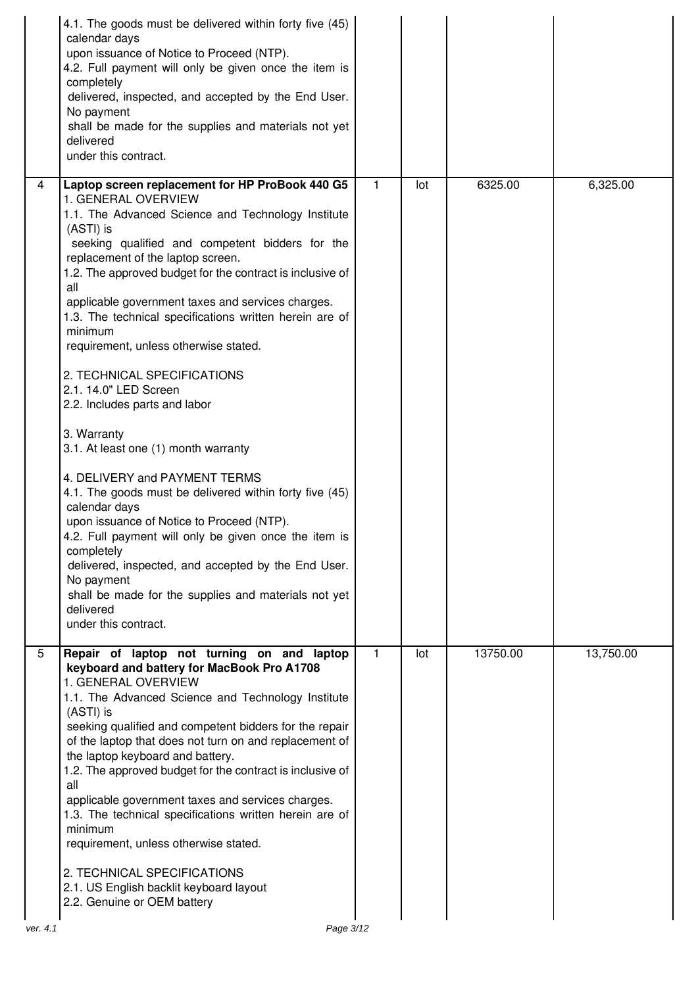|                | 4.1. The goods must be delivered within forty five (45)<br>calendar days<br>upon issuance of Notice to Proceed (NTP).<br>4.2. Full payment will only be given once the item is<br>completely<br>delivered, inspected, and accepted by the End User.<br>No payment<br>shall be made for the supplies and materials not yet<br>delivered<br>under this contract.                                                                                                                                                                                                                                                                                                                                                                                                                                                                                                                                                                                                                                                               |              |     |          |           |
|----------------|------------------------------------------------------------------------------------------------------------------------------------------------------------------------------------------------------------------------------------------------------------------------------------------------------------------------------------------------------------------------------------------------------------------------------------------------------------------------------------------------------------------------------------------------------------------------------------------------------------------------------------------------------------------------------------------------------------------------------------------------------------------------------------------------------------------------------------------------------------------------------------------------------------------------------------------------------------------------------------------------------------------------------|--------------|-----|----------|-----------|
| $\overline{4}$ | Laptop screen replacement for HP ProBook 440 G5<br>1. GENERAL OVERVIEW<br>1.1. The Advanced Science and Technology Institute<br>(ASTI) is<br>seeking qualified and competent bidders for the<br>replacement of the laptop screen.<br>1.2. The approved budget for the contract is inclusive of<br>all<br>applicable government taxes and services charges.<br>1.3. The technical specifications written herein are of<br>minimum<br>requirement, unless otherwise stated.<br>2. TECHNICAL SPECIFICATIONS<br>2.1. 14.0" LED Screen<br>2.2. Includes parts and labor<br>3. Warranty<br>3.1. At least one (1) month warranty<br>4. DELIVERY and PAYMENT TERMS<br>4.1. The goods must be delivered within forty five (45)<br>calendar days<br>upon issuance of Notice to Proceed (NTP).<br>4.2. Full payment will only be given once the item is<br>completely<br>delivered, inspected, and accepted by the End User.<br>No payment<br>shall be made for the supplies and materials not yet<br>delivered<br>under this contract. | $\mathbf{1}$ | lot | 6325.00  | 6,325.00  |
| 5              | Repair of laptop not turning on and laptop                                                                                                                                                                                                                                                                                                                                                                                                                                                                                                                                                                                                                                                                                                                                                                                                                                                                                                                                                                                   | 1.           | lot | 13750.00 | 13,750.00 |
|                | keyboard and battery for MacBook Pro A1708<br>1. GENERAL OVERVIEW<br>1.1. The Advanced Science and Technology Institute<br>(ASTI) is<br>seeking qualified and competent bidders for the repair<br>of the laptop that does not turn on and replacement of<br>the laptop keyboard and battery.<br>1.2. The approved budget for the contract is inclusive of<br>all<br>applicable government taxes and services charges.<br>1.3. The technical specifications written herein are of<br>minimum<br>requirement, unless otherwise stated.<br>2. TECHNICAL SPECIFICATIONS<br>2.1. US English backlit keyboard layout<br>2.2. Genuine or OEM battery                                                                                                                                                                                                                                                                                                                                                                                |              |     |          |           |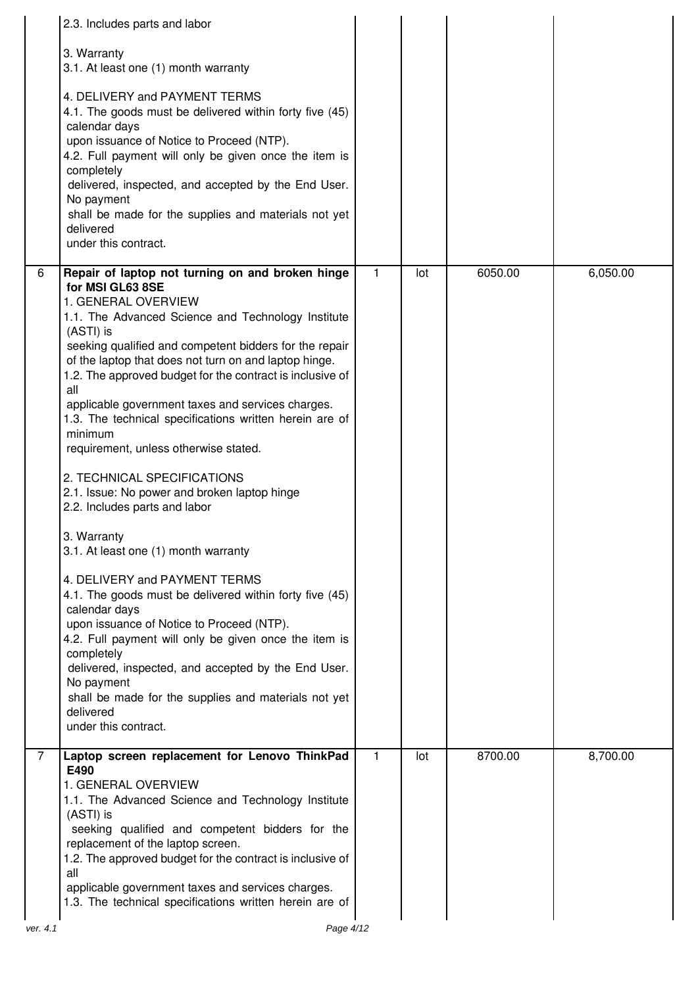|   | 2.3. Includes parts and labor                                                                                                                                                                                                                                                                                                                                                                                                                                                                                                                                                                                                                                                                                                                                                                                                                                                                                                                                                                                                                                                                       |              |     |         |          |
|---|-----------------------------------------------------------------------------------------------------------------------------------------------------------------------------------------------------------------------------------------------------------------------------------------------------------------------------------------------------------------------------------------------------------------------------------------------------------------------------------------------------------------------------------------------------------------------------------------------------------------------------------------------------------------------------------------------------------------------------------------------------------------------------------------------------------------------------------------------------------------------------------------------------------------------------------------------------------------------------------------------------------------------------------------------------------------------------------------------------|--------------|-----|---------|----------|
|   | 3. Warranty<br>3.1. At least one (1) month warranty<br>4. DELIVERY and PAYMENT TERMS<br>4.1. The goods must be delivered within forty five (45)<br>calendar days<br>upon issuance of Notice to Proceed (NTP).<br>4.2. Full payment will only be given once the item is<br>completely<br>delivered, inspected, and accepted by the End User.<br>No payment<br>shall be made for the supplies and materials not yet<br>delivered<br>under this contract.                                                                                                                                                                                                                                                                                                                                                                                                                                                                                                                                                                                                                                              |              |     |         |          |
| 6 | Repair of laptop not turning on and broken hinge<br>for MSI GL63 8SE<br>1. GENERAL OVERVIEW<br>1.1. The Advanced Science and Technology Institute<br>(ASTI) is<br>seeking qualified and competent bidders for the repair<br>of the laptop that does not turn on and laptop hinge.<br>1.2. The approved budget for the contract is inclusive of<br>all<br>applicable government taxes and services charges.<br>1.3. The technical specifications written herein are of<br>minimum<br>requirement, unless otherwise stated.<br>2. TECHNICAL SPECIFICATIONS<br>2.1. Issue: No power and broken laptop hinge<br>2.2. Includes parts and labor<br>3. Warranty<br>3.1. At least one (1) month warranty<br>4. DELIVERY and PAYMENT TERMS<br>4.1. The goods must be delivered within forty five (45)<br>calendar days<br>upon issuance of Notice to Proceed (NTP).<br>4.2. Full payment will only be given once the item is<br>completely<br>delivered, inspected, and accepted by the End User.<br>No payment<br>shall be made for the supplies and materials not yet<br>delivered<br>under this contract. | 1            | lot | 6050.00 | 6,050.00 |
| 7 | Laptop screen replacement for Lenovo ThinkPad<br>E490<br>1. GENERAL OVERVIEW<br>1.1. The Advanced Science and Technology Institute<br>(ASTI) is<br>seeking qualified and competent bidders for the<br>replacement of the laptop screen.<br>1.2. The approved budget for the contract is inclusive of<br>all<br>applicable government taxes and services charges.<br>1.3. The technical specifications written herein are of                                                                                                                                                                                                                                                                                                                                                                                                                                                                                                                                                                                                                                                                         | $\mathbf{1}$ | lot | 8700.00 | 8,700.00 |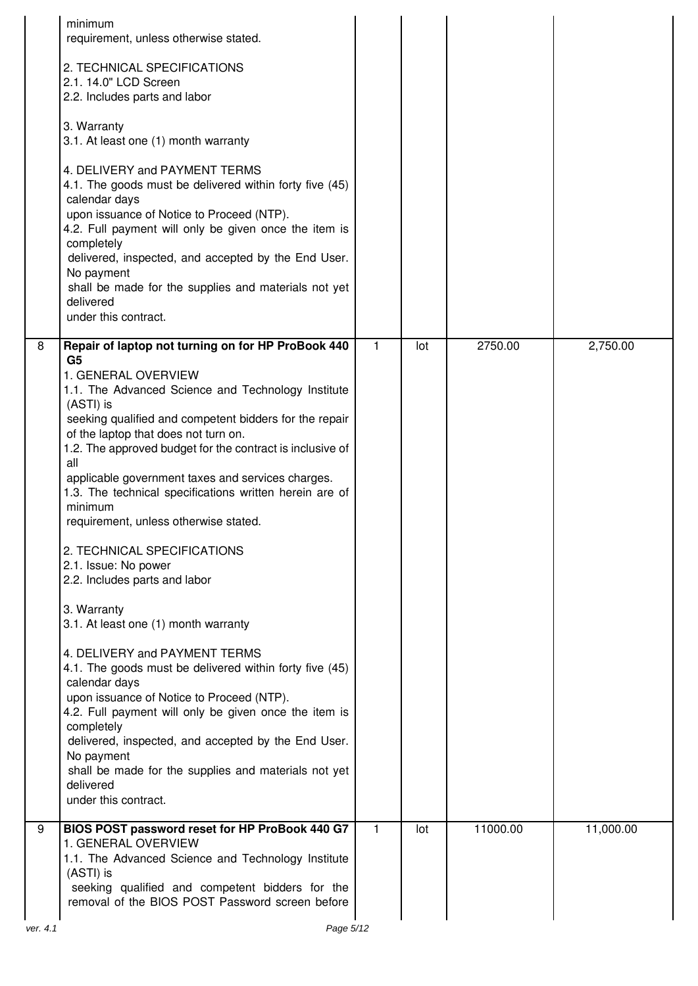|          | minimum<br>requirement, unless otherwise stated.                                                                                                                                                                                                                                                                                                                                                |             |     |          |           |
|----------|-------------------------------------------------------------------------------------------------------------------------------------------------------------------------------------------------------------------------------------------------------------------------------------------------------------------------------------------------------------------------------------------------|-------------|-----|----------|-----------|
|          | 2. TECHNICAL SPECIFICATIONS<br>2.1. 14.0" LCD Screen<br>2.2. Includes parts and labor                                                                                                                                                                                                                                                                                                           |             |     |          |           |
|          | 3. Warranty<br>3.1. At least one (1) month warranty                                                                                                                                                                                                                                                                                                                                             |             |     |          |           |
|          | 4. DELIVERY and PAYMENT TERMS<br>4.1. The goods must be delivered within forty five (45)<br>calendar days<br>upon issuance of Notice to Proceed (NTP).<br>4.2. Full payment will only be given once the item is<br>completely<br>delivered, inspected, and accepted by the End User.<br>No payment<br>shall be made for the supplies and materials not yet<br>delivered<br>under this contract. |             |     |          |           |
| 8        | Repair of laptop not turning on for HP ProBook 440<br>G <sub>5</sub>                                                                                                                                                                                                                                                                                                                            | 1           | lot | 2750.00  | 2,750.00  |
|          | 1. GENERAL OVERVIEW<br>1.1. The Advanced Science and Technology Institute                                                                                                                                                                                                                                                                                                                       |             |     |          |           |
|          | (ASTI) is<br>seeking qualified and competent bidders for the repair                                                                                                                                                                                                                                                                                                                             |             |     |          |           |
|          | of the laptop that does not turn on.<br>1.2. The approved budget for the contract is inclusive of<br>all                                                                                                                                                                                                                                                                                        |             |     |          |           |
|          | applicable government taxes and services charges.<br>1.3. The technical specifications written herein are of<br>minimum<br>requirement, unless otherwise stated.                                                                                                                                                                                                                                |             |     |          |           |
|          | 2. TECHNICAL SPECIFICATIONS<br>2.1. Issue: No power<br>2.2. Includes parts and labor                                                                                                                                                                                                                                                                                                            |             |     |          |           |
|          | 3. Warranty<br>3.1. At least one (1) month warranty                                                                                                                                                                                                                                                                                                                                             |             |     |          |           |
|          | 4. DELIVERY and PAYMENT TERMS<br>4.1. The goods must be delivered within forty five (45)<br>calendar days                                                                                                                                                                                                                                                                                       |             |     |          |           |
|          | upon issuance of Notice to Proceed (NTP).<br>4.2. Full payment will only be given once the item is                                                                                                                                                                                                                                                                                              |             |     |          |           |
|          | completely<br>delivered, inspected, and accepted by the End User.<br>No payment<br>shall be made for the supplies and materials not yet                                                                                                                                                                                                                                                         |             |     |          |           |
|          | delivered<br>under this contract.                                                                                                                                                                                                                                                                                                                                                               |             |     |          |           |
| 9        | BIOS POST password reset for HP ProBook 440 G7<br>1. GENERAL OVERVIEW<br>1.1. The Advanced Science and Technology Institute<br>(ASTI) is<br>seeking qualified and competent bidders for the                                                                                                                                                                                                     | $\mathbf 1$ | lot | 11000.00 | 11,000.00 |
| ver. 4.1 | removal of the BIOS POST Password screen before<br>Page 5/12                                                                                                                                                                                                                                                                                                                                    |             |     |          |           |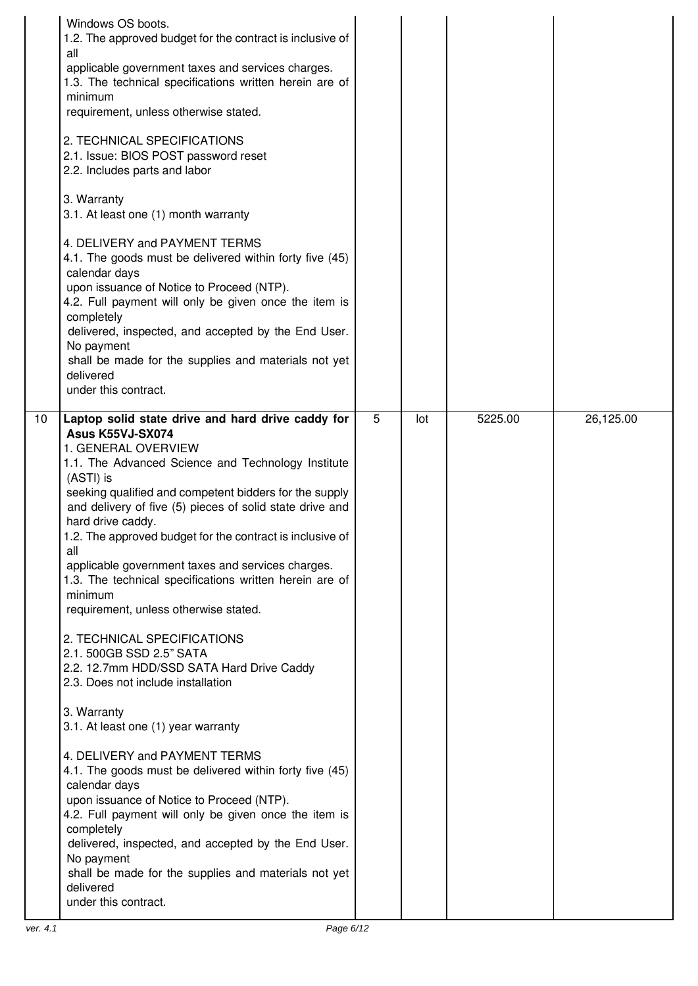| Windows OS boots.<br>1.2. The approved budget for the contract is inclusive of<br>all<br>applicable government taxes and services charges.<br>1.3. The technical specifications written herein are of<br>minimum<br>requirement, unless otherwise stated.<br>2. TECHNICAL SPECIFICATIONS<br>2.1. Issue: BIOS POST password reset<br>2.2. Includes parts and labor<br>3. Warranty<br>3.1. At least one (1) month warranty<br>4. DELIVERY and PAYMENT TERMS<br>4.1. The goods must be delivered within forty five (45)<br>calendar days<br>upon issuance of Notice to Proceed (NTP).<br>4.2. Full payment will only be given once the item is<br>completely<br>delivered, inspected, and accepted by the End User.<br>No payment<br>shall be made for the supplies and materials not yet<br>delivered<br>under this contract.<br>10 <sup>1</sup><br>Laptop solid state drive and hard drive caddy for                                                                                              | 5 | lot | 5225.00 | 26,125.00 |
|--------------------------------------------------------------------------------------------------------------------------------------------------------------------------------------------------------------------------------------------------------------------------------------------------------------------------------------------------------------------------------------------------------------------------------------------------------------------------------------------------------------------------------------------------------------------------------------------------------------------------------------------------------------------------------------------------------------------------------------------------------------------------------------------------------------------------------------------------------------------------------------------------------------------------------------------------------------------------------------------------|---|-----|---------|-----------|
| <b>Asus K55VJ-SX074</b><br>1. GENERAL OVERVIEW<br>1.1. The Advanced Science and Technology Institute<br>(ASTI) is<br>seeking qualified and competent bidders for the supply<br>and delivery of five (5) pieces of solid state drive and<br>hard drive caddy.<br>1.2. The approved budget for the contract is inclusive of<br>all<br>applicable government taxes and services charges.<br>1.3. The technical specifications written herein are of<br>minimum<br>requirement, unless otherwise stated.<br>2. TECHNICAL SPECIFICATIONS<br>2.1. 500GB SSD 2.5" SATA<br>2.2. 12.7mm HDD/SSD SATA Hard Drive Caddy<br>2.3. Does not include installation<br>3. Warranty<br>3.1. At least one (1) year warranty<br>4. DELIVERY and PAYMENT TERMS<br>4.1. The goods must be delivered within forty five (45)<br>calendar days<br>upon issuance of Notice to Proceed (NTP).<br>4.2. Full payment will only be given once the item is<br>completely<br>delivered, inspected, and accepted by the End User. |   |     |         |           |
| No payment<br>shall be made for the supplies and materials not yet<br>delivered                                                                                                                                                                                                                                                                                                                                                                                                                                                                                                                                                                                                                                                                                                                                                                                                                                                                                                                  |   |     |         |           |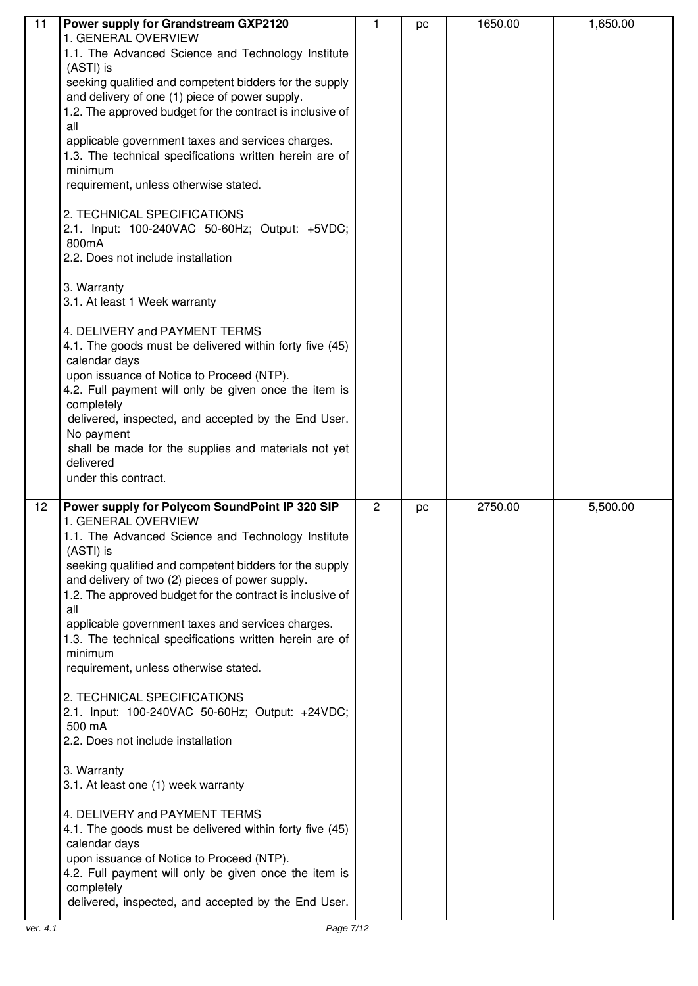| 11 | Power supply for Grandstream GXP2120                                                                     | 1              | pc | 1650.00 | 1,650.00 |
|----|----------------------------------------------------------------------------------------------------------|----------------|----|---------|----------|
|    | 1. GENERAL OVERVIEW                                                                                      |                |    |         |          |
|    | 1.1. The Advanced Science and Technology Institute                                                       |                |    |         |          |
|    | (ASTI) is                                                                                                |                |    |         |          |
|    | seeking qualified and competent bidders for the supply<br>and delivery of one (1) piece of power supply. |                |    |         |          |
|    | 1.2. The approved budget for the contract is inclusive of                                                |                |    |         |          |
|    | all                                                                                                      |                |    |         |          |
|    | applicable government taxes and services charges.                                                        |                |    |         |          |
|    | 1.3. The technical specifications written herein are of                                                  |                |    |         |          |
|    | minimum                                                                                                  |                |    |         |          |
|    | requirement, unless otherwise stated.                                                                    |                |    |         |          |
|    | 2. TECHNICAL SPECIFICATIONS                                                                              |                |    |         |          |
|    | 2.1. Input: 100-240VAC 50-60Hz; Output: +5VDC;                                                           |                |    |         |          |
|    | 800mA                                                                                                    |                |    |         |          |
|    | 2.2. Does not include installation                                                                       |                |    |         |          |
|    |                                                                                                          |                |    |         |          |
|    | 3. Warranty                                                                                              |                |    |         |          |
|    | 3.1. At least 1 Week warranty                                                                            |                |    |         |          |
|    | 4. DELIVERY and PAYMENT TERMS                                                                            |                |    |         |          |
|    | 4.1. The goods must be delivered within forty five (45)                                                  |                |    |         |          |
|    | calendar days                                                                                            |                |    |         |          |
|    | upon issuance of Notice to Proceed (NTP).                                                                |                |    |         |          |
|    | 4.2. Full payment will only be given once the item is                                                    |                |    |         |          |
|    | completely                                                                                               |                |    |         |          |
|    | delivered, inspected, and accepted by the End User.                                                      |                |    |         |          |
|    | No payment                                                                                               |                |    |         |          |
|    | shall be made for the supplies and materials not yet<br>delivered                                        |                |    |         |          |
|    | under this contract.                                                                                     |                |    |         |          |
|    |                                                                                                          |                |    |         |          |
| 12 | Power supply for Polycom SoundPoint IP 320 SIP                                                           | $\overline{2}$ | pc | 2750.00 | 5,500.00 |
|    | 1. GENERAL OVERVIEW                                                                                      |                |    |         |          |
|    | 1.1. The Advanced Science and Technology Institute                                                       |                |    |         |          |
|    | (ASTI) is<br>seeking qualified and competent bidders for the supply                                      |                |    |         |          |
|    | and delivery of two (2) pieces of power supply.                                                          |                |    |         |          |
|    | 1.2. The approved budget for the contract is inclusive of                                                |                |    |         |          |
|    | all                                                                                                      |                |    |         |          |
|    |                                                                                                          |                |    |         |          |
|    | applicable government taxes and services charges.                                                        |                |    |         |          |
|    | 1.3. The technical specifications written herein are of                                                  |                |    |         |          |
|    | minimum                                                                                                  |                |    |         |          |
|    | requirement, unless otherwise stated.                                                                    |                |    |         |          |
|    |                                                                                                          |                |    |         |          |
|    | 2. TECHNICAL SPECIFICATIONS                                                                              |                |    |         |          |
|    | 2.1. Input: 100-240VAC 50-60Hz; Output: +24VDC;<br>500 mA                                                |                |    |         |          |
|    | 2.2. Does not include installation                                                                       |                |    |         |          |
|    |                                                                                                          |                |    |         |          |
|    | 3. Warranty                                                                                              |                |    |         |          |
|    | 3.1. At least one (1) week warranty                                                                      |                |    |         |          |
|    | 4. DELIVERY and PAYMENT TERMS                                                                            |                |    |         |          |
|    | 4.1. The goods must be delivered within forty five (45)                                                  |                |    |         |          |
|    | calendar days                                                                                            |                |    |         |          |
|    | upon issuance of Notice to Proceed (NTP).                                                                |                |    |         |          |
|    | 4.2. Full payment will only be given once the item is                                                    |                |    |         |          |
|    | completely                                                                                               |                |    |         |          |
|    | delivered, inspected, and accepted by the End User.                                                      |                |    |         |          |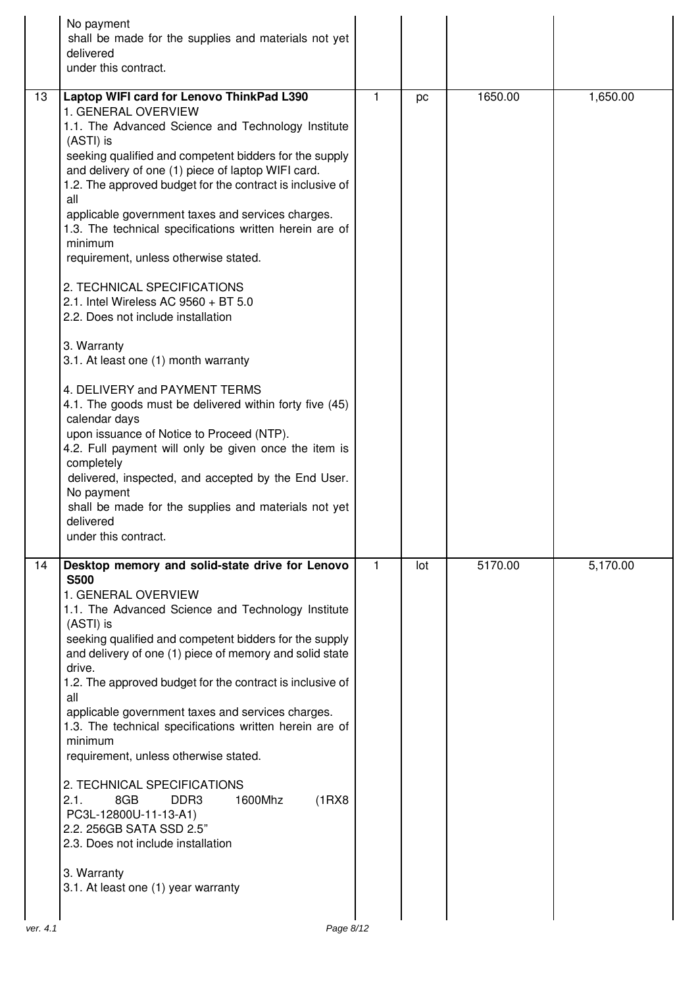|          | No payment<br>shall be made for the supplies and materials not yet<br>delivered<br>under this contract.                                                                                                                                                                                                                                                                                                                                                                                                                                                                                                                                                                                                                                                                                                                                                                                                                                                                                                                                                            |              |     |         |          |
|----------|--------------------------------------------------------------------------------------------------------------------------------------------------------------------------------------------------------------------------------------------------------------------------------------------------------------------------------------------------------------------------------------------------------------------------------------------------------------------------------------------------------------------------------------------------------------------------------------------------------------------------------------------------------------------------------------------------------------------------------------------------------------------------------------------------------------------------------------------------------------------------------------------------------------------------------------------------------------------------------------------------------------------------------------------------------------------|--------------|-----|---------|----------|
| 13       | Laptop WIFI card for Lenovo ThinkPad L390<br>1. GENERAL OVERVIEW<br>1.1. The Advanced Science and Technology Institute<br>(ASTI) is<br>seeking qualified and competent bidders for the supply<br>and delivery of one (1) piece of laptop WIFI card.<br>1.2. The approved budget for the contract is inclusive of<br>all<br>applicable government taxes and services charges.<br>1.3. The technical specifications written herein are of<br>minimum<br>requirement, unless otherwise stated.<br>2. TECHNICAL SPECIFICATIONS<br>2.1. Intel Wireless AC 9560 + BT 5.0<br>2.2. Does not include installation<br>3. Warranty<br>3.1. At least one (1) month warranty<br>4. DELIVERY and PAYMENT TERMS<br>4.1. The goods must be delivered within forty five (45)<br>calendar days<br>upon issuance of Notice to Proceed (NTP).<br>4.2. Full payment will only be given once the item is<br>completely<br>delivered, inspected, and accepted by the End User.<br>No payment<br>shall be made for the supplies and materials not yet<br>delivered<br>under this contract. | 1            | pc  | 1650.00 | 1,650.00 |
| 14       | Desktop memory and solid-state drive for Lenovo<br><b>S500</b><br>1. GENERAL OVERVIEW<br>1.1. The Advanced Science and Technology Institute<br>(ASTI) is<br>seeking qualified and competent bidders for the supply<br>and delivery of one (1) piece of memory and solid state<br>drive.<br>1.2. The approved budget for the contract is inclusive of<br>all<br>applicable government taxes and services charges.<br>1.3. The technical specifications written herein are of<br>minimum<br>requirement, unless otherwise stated.<br>2. TECHNICAL SPECIFICATIONS<br>1600Mhz<br>(1RX8)<br>2.1.<br>8GB<br>DDR <sub>3</sub><br>PC3L-12800U-11-13-A1)<br>2.2. 256GB SATA SSD 2.5"<br>2.3. Does not include installation<br>3. Warranty<br>3.1. At least one (1) year warranty                                                                                                                                                                                                                                                                                            | $\mathbf{1}$ | lot | 5170.00 | 5,170.00 |
| ver. 4.1 | Page 8/12                                                                                                                                                                                                                                                                                                                                                                                                                                                                                                                                                                                                                                                                                                                                                                                                                                                                                                                                                                                                                                                          |              |     |         |          |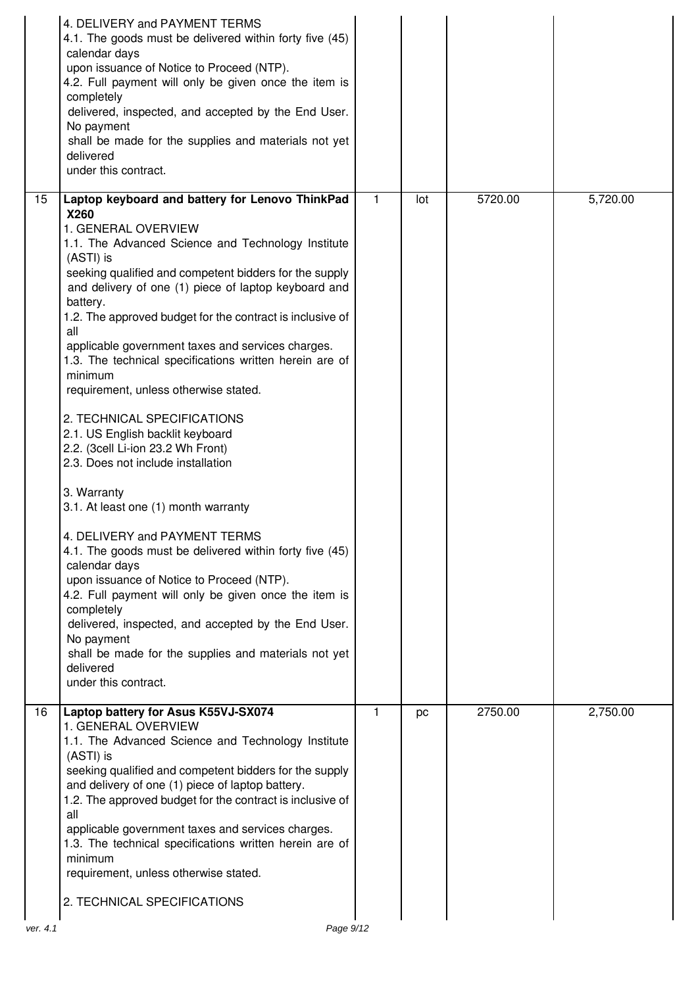|          | 4. DELIVERY and PAYMENT TERMS<br>4.1. The goods must be delivered within forty five (45)<br>calendar days<br>upon issuance of Notice to Proceed (NTP).<br>4.2. Full payment will only be given once the item is<br>completely<br>delivered, inspected, and accepted by the End User.<br>No payment<br>shall be made for the supplies and materials not yet<br>delivered<br>under this contract.                                                                                                                                                                                                                                                                                                                                                                                                                                                                                                                                                                                                                                    |   |     |         |          |
|----------|------------------------------------------------------------------------------------------------------------------------------------------------------------------------------------------------------------------------------------------------------------------------------------------------------------------------------------------------------------------------------------------------------------------------------------------------------------------------------------------------------------------------------------------------------------------------------------------------------------------------------------------------------------------------------------------------------------------------------------------------------------------------------------------------------------------------------------------------------------------------------------------------------------------------------------------------------------------------------------------------------------------------------------|---|-----|---------|----------|
| 15       | Laptop keyboard and battery for Lenovo ThinkPad<br>X260<br>1. GENERAL OVERVIEW<br>1.1. The Advanced Science and Technology Institute<br>(ASTI) is<br>seeking qualified and competent bidders for the supply<br>and delivery of one (1) piece of laptop keyboard and<br>battery.<br>1.2. The approved budget for the contract is inclusive of<br>all<br>applicable government taxes and services charges.<br>1.3. The technical specifications written herein are of<br>minimum<br>requirement, unless otherwise stated.<br>2. TECHNICAL SPECIFICATIONS<br>2.1. US English backlit keyboard<br>2.2. (3cell Li-ion 23.2 Wh Front)<br>2.3. Does not include installation<br>3. Warranty<br>3.1. At least one (1) month warranty<br>4. DELIVERY and PAYMENT TERMS<br>4.1. The goods must be delivered within forty five (45)<br>calendar days<br>upon issuance of Notice to Proceed (NTP).<br>4.2. Full payment will only be given once the item is<br>completely<br>delivered, inspected, and accepted by the End User.<br>No payment | 1 | lot | 5720.00 | 5,720.00 |
|          | shall be made for the supplies and materials not yet<br>delivered<br>under this contract.                                                                                                                                                                                                                                                                                                                                                                                                                                                                                                                                                                                                                                                                                                                                                                                                                                                                                                                                          |   |     |         |          |
| 16       | Laptop battery for Asus K55VJ-SX074<br>1. GENERAL OVERVIEW<br>1.1. The Advanced Science and Technology Institute<br>(ASTI) is<br>seeking qualified and competent bidders for the supply<br>and delivery of one (1) piece of laptop battery.<br>1.2. The approved budget for the contract is inclusive of<br>all<br>applicable government taxes and services charges.<br>1.3. The technical specifications written herein are of<br>minimum<br>requirement, unless otherwise stated.<br>2. TECHNICAL SPECIFICATIONS                                                                                                                                                                                                                                                                                                                                                                                                                                                                                                                 | 1 | pc  | 2750.00 | 2,750.00 |
| ver. 4.1 | Page 9/12                                                                                                                                                                                                                                                                                                                                                                                                                                                                                                                                                                                                                                                                                                                                                                                                                                                                                                                                                                                                                          |   |     |         |          |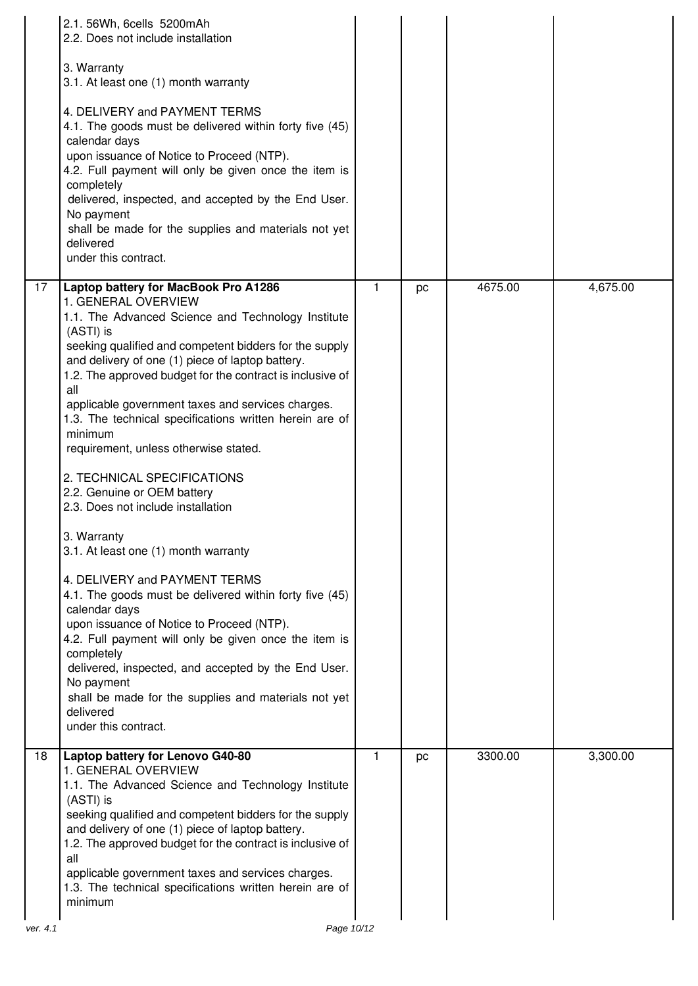|                 | 2.1. 56Wh, 6cells 5200mAh<br>2.2. Does not include installation                                                                                                                                                                                                                                           |              |    |         |          |
|-----------------|-----------------------------------------------------------------------------------------------------------------------------------------------------------------------------------------------------------------------------------------------------------------------------------------------------------|--------------|----|---------|----------|
|                 | 3. Warranty<br>3.1. At least one (1) month warranty                                                                                                                                                                                                                                                       |              |    |         |          |
|                 | 4. DELIVERY and PAYMENT TERMS<br>4.1. The goods must be delivered within forty five (45)<br>calendar days<br>upon issuance of Notice to Proceed (NTP).                                                                                                                                                    |              |    |         |          |
|                 | 4.2. Full payment will only be given once the item is<br>completely<br>delivered, inspected, and accepted by the End User.<br>No payment                                                                                                                                                                  |              |    |         |          |
|                 | shall be made for the supplies and materials not yet<br>delivered<br>under this contract.                                                                                                                                                                                                                 |              |    |         |          |
| $\overline{17}$ | Laptop battery for MacBook Pro A1286<br>1. GENERAL OVERVIEW<br>1.1. The Advanced Science and Technology Institute<br>(ASTI) is<br>seeking qualified and competent bidders for the supply<br>and delivery of one (1) piece of laptop battery.<br>1.2. The approved budget for the contract is inclusive of | $\mathbf{1}$ | pc | 4675.00 | 4,675.00 |
|                 | all<br>applicable government taxes and services charges.<br>1.3. The technical specifications written herein are of<br>minimum<br>requirement, unless otherwise stated.                                                                                                                                   |              |    |         |          |
|                 | 2. TECHNICAL SPECIFICATIONS<br>2.2. Genuine or OEM battery<br>2.3. Does not include installation                                                                                                                                                                                                          |              |    |         |          |
|                 | 3. Warranty<br>3.1. At least one (1) month warranty                                                                                                                                                                                                                                                       |              |    |         |          |
|                 | 4. DELIVERY and PAYMENT TERMS<br>4.1. The goods must be delivered within forty five (45)<br>calendar days<br>upon issuance of Notice to Proceed (NTP).<br>4.2. Full payment will only be given once the item is                                                                                           |              |    |         |          |
|                 | completely<br>delivered, inspected, and accepted by the End User.<br>No payment<br>shall be made for the supplies and materials not yet<br>delivered<br>under this contract.                                                                                                                              |              |    |         |          |
| $\overline{18}$ | Laptop battery for Lenovo G40-80                                                                                                                                                                                                                                                                          | $\mathbf{1}$ | pc | 3300.00 | 3,300.00 |
|                 | 1. GENERAL OVERVIEW<br>1.1. The Advanced Science and Technology Institute<br>(ASTI) is<br>seeking qualified and competent bidders for the supply<br>and delivery of one (1) piece of laptop battery.<br>1.2. The approved budget for the contract is inclusive of<br>all                                  |              |    |         |          |
|                 | applicable government taxes and services charges.<br>1.3. The technical specifications written herein are of<br>minimum                                                                                                                                                                                   |              |    |         |          |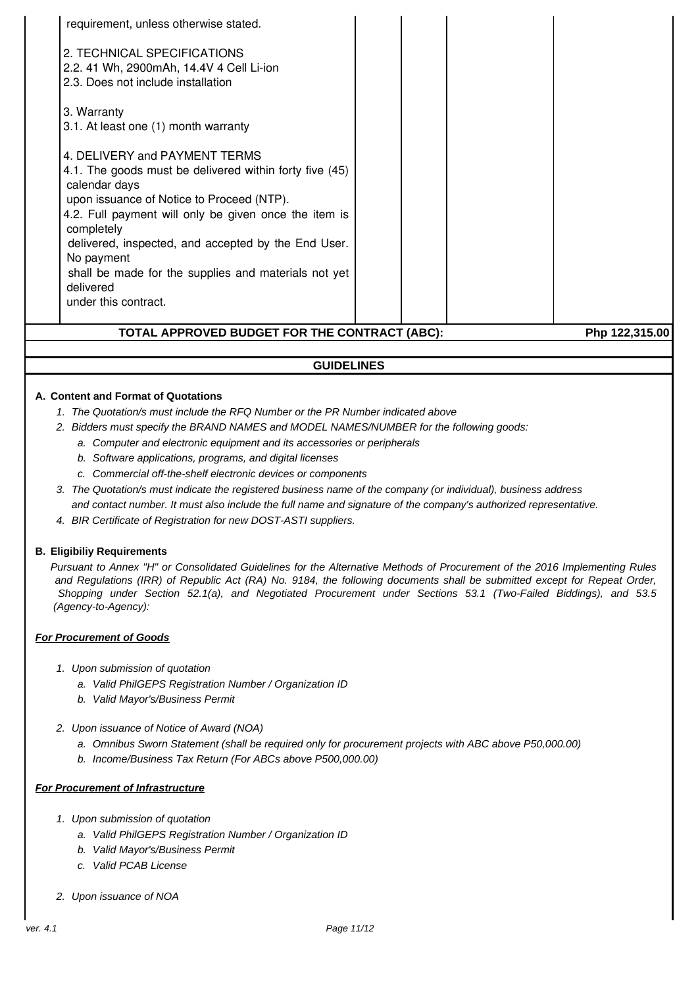| TOTAL APPROVED BUDGET FOR THE CONTRACT (ABC):                                                                                                                                                                                                                                        |  | Php 122,315.00 |
|--------------------------------------------------------------------------------------------------------------------------------------------------------------------------------------------------------------------------------------------------------------------------------------|--|----------------|
| No payment<br>shall be made for the supplies and materials not yet<br>delivered<br>under this contract.                                                                                                                                                                              |  |                |
| 4. DELIVERY and PAYMENT TERMS<br>4.1. The goods must be delivered within forty five (45)<br>calendar days<br>upon issuance of Notice to Proceed (NTP).<br>4.2. Full payment will only be given once the item is<br>completely<br>delivered, inspected, and accepted by the End User. |  |                |
| 2. TECHNICAL SPECIFICATIONS<br>2.2. 41 Wh, 2900mAh, 14.4V 4 Cell Li-ion<br>2.3. Does not include installation<br>3. Warranty<br>3.1. At least one (1) month warranty                                                                                                                 |  |                |
| requirement, unless otherwise stated.                                                                                                                                                                                                                                                |  |                |

# **GUIDELINES**

#### **A. Content and Format of Quotations**

- 1. The Quotation/s must include the RFQ Number or the PR Number indicated above
- 2. Bidders must specify the BRAND NAMES and MODEL NAMES/NUMBER for the following goods:
	- a. Computer and electronic equipment and its accessories or peripherals
	- b. Software applications, programs, and digital licenses
	- c. Commercial off-the-shelf electronic devices or components
- 3. The Quotation/s must indicate the registered business name of the company (or individual), business address and contact number. It must also include the full name and signature of the company's authorized representative.
- 4. BIR Certificate of Registration for new DOST-ASTI suppliers.

#### **B. Eligibiliy Requirements**

Pursuant to Annex "H" or Consolidated Guidelines for the Alternative Methods of Procurement of the 2016 Implementing Rules and Regulations (IRR) of Republic Act (RA) No. 9184, the following documents shall be submitted except for Repeat Order, Shopping under Section 52.1(a), and Negotiated Procurement under Sections 53.1 (Two-Failed Biddings), and 53.5 (Agency-to-Agency):

#### **For Procurement of Goods**

- 1. Upon submission of quotation
	- a. Valid PhilGEPS Registration Number / Organization ID
	- b. Valid Mayor's/Business Permit
- 2. Upon issuance of Notice of Award (NOA)
	- a. Omnibus Sworn Statement (shall be required only for procurement projects with ABC above P50,000.00)
	- b. Income/Business Tax Return (For ABCs above P500,000.00)

#### **For Procurement of Infrastructure**

- 1. Upon submission of quotation
	- a. Valid PhilGEPS Registration Number / Organization ID
	- b. Valid Mayor's/Business Permit
	- c. Valid PCAB License
- 2. Upon issuance of NOA